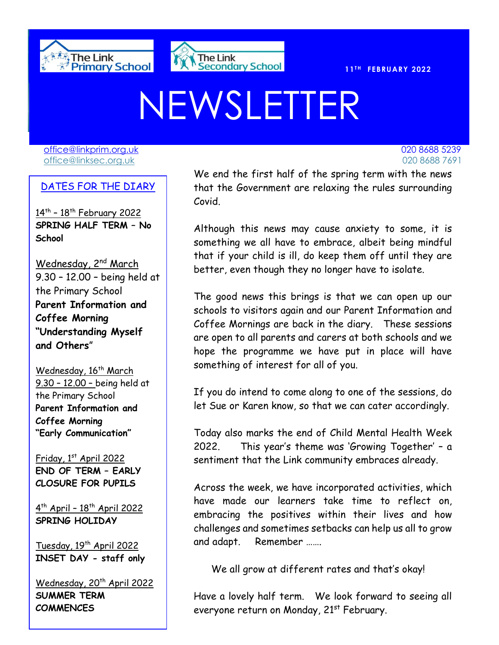



# NEWSLETTER

[office@linkprim.org.uk](mailto:office@linkprim.org.uk) 020 8688 5239 office@linksec.org.uk 020 8688 7691

#### DATES FOR THE DIARY

14<sup>th</sup> - 18<sup>th</sup> February 2022 **SPRING HALF TERM – No School**

Wednesday, 2<sup>nd</sup> March 9.30 – 12.00 – being held at the Primary School **Parent Information and Coffee Morning "Understanding Myself and Others**"

Wednesday, 16<sup>th</sup> March 9.30 – 12.00 – being held at the Primary School **Parent Information and Coffee Morning "Early Communication"**

Friday,  $1<sup>st</sup>$  April 2022 **END OF TERM – EARLY CLOSURE FOR PUPILS**

4<sup>th</sup> April - 18<sup>th</sup> April 2022 **SPRING HOLIDAY**

Tuesday, 19th April 2022 **INSET DAY - staff only**

Wednesday, 20<sup>th</sup> April 2022 **SUMMER TERM COMMENCES**

rd June 2022 - June 2022 - June 2022 - June 2022 - June 2022 - June 2022 - June 2022 - June 2022 - June 2022 -

27th<br>27th - 27th<br>27th - 27th - 27th

- 3

**External Contract MEE** on the first half of the spring term with the news that the Government are relaxing the rules surrounding Covid.

> Although this news may cause anxiety to some, it is something we all have to embrace, albeit being mindful that if your child is ill, do keep them off until they are better, even though they no longer have to isolate.

> The good news this brings is that we can open up our schools to visitors again and our Parent Information and Coffee Mornings are back in the diary. These sessions are open to all parents and carers at both schools and we hope the programme we have put in place will have something of interest for all of you.

> If you do intend to come along to one of the sessions, do let Sue or Karen know, so that we can cater accordingly.

> Today also marks the end of Child Mental Health Week 2022. This year's theme was 'Growing Together' – a sentiment that the Link community embraces already.

> Across the week, we have incorporated activities, which have made our learners take time to reflect on, embracing the positives within their lives and how challenges and sometimes setbacks can help us all to grow and adapt. Remember …….

We all grow at different rates and that's okay!

Have a lovely half term. We look forward to seeing all everyone return on Monday, 21<sup>st</sup> February.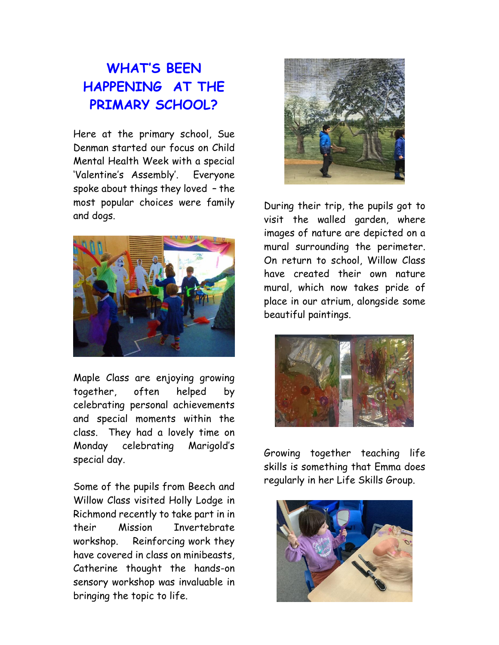# **WHAT'S BEEN HAPPENING AT THE PRIMARY SCHOOL?**

Here at the primary school, Sue Denman started our focus on Child Mental Health Week with a special 'Valentine's Assembly'. Everyone spoke about things they loved – the most popular choices were family and dogs.



Maple Class are enjoying growing together, often helped by celebrating personal achievements and special moments within the class. They had a lovely time on Monday celebrating Marigold's special day.

Some of the pupils from Beech and Willow Class visited Holly Lodge in Richmond recently to take part in in their Mission Invertebrate workshop. Reinforcing work they have covered in class on minibeasts, Catherine thought the hands-on sensory workshop was invaluable in bringing the topic to life.



During their trip, the pupils got to visit the walled garden, where images of nature are depicted on a mural surrounding the perimeter. On return to school, Willow Class have created their own nature mural, which now takes pride of place in our atrium, alongside some beautiful paintings.



Growing together teaching life skills is something that Emma does regularly in her Life Skills Group.

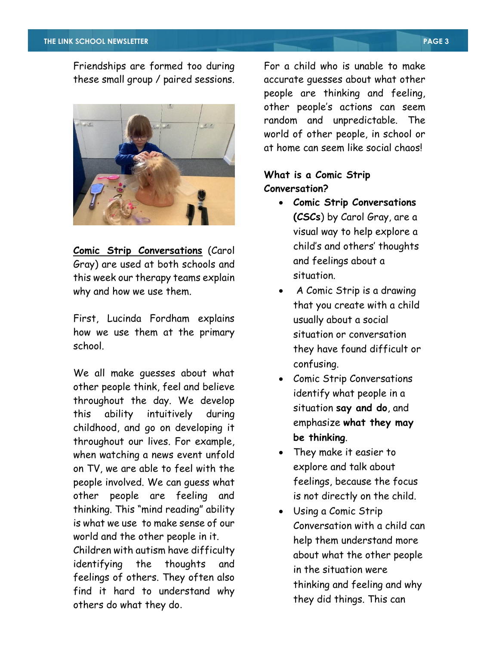Friendships are formed too during these small group / paired sessions.



**Comic Strip Conversations** (Carol Gray) are used at both schools and this week our therapy teams explain why and how we use them.

First, Lucinda Fordham explains how we use them at the primary school.

We all make guesses about what other people think, feel and believe throughout the day. We develop this ability intuitively during childhood, and go on developing it throughout our lives. For example, when watching a news event unfold on TV, we are able to feel with the people involved. We can guess what other people are feeling and thinking. This "mind reading" ability is what we use to make sense of our world and the other people in it.

Children with autism have difficulty identifying the thoughts and feelings of others. They often also find it hard to understand why others do what they do.

For a child who is unable to make accurate guesses about what other people are thinking and feeling, other people's actions can seem random and unpredictable. The world of other people, in school or at home can seem like social chaos!

#### **What is a Comic Strip Conversation?**

- **Comic Strip Conversations (CSCs**) by Carol Gray, are a visual way to help explore a child's and others' thoughts and feelings about a situation.
- A Comic Strip is a drawing that you create with a child usually about a social situation or conversation they have found difficult or confusing.
- Comic Strip Conversations identify what people in a situation **say and do**, and emphasize **what they may be thinking**.
- They make it easier to explore and talk about feelings, because the focus is not directly on the child.
- Using a Comic Strip Conversation with a child can help them understand more about what the other people in the situation were thinking and feeling and why they did things. This can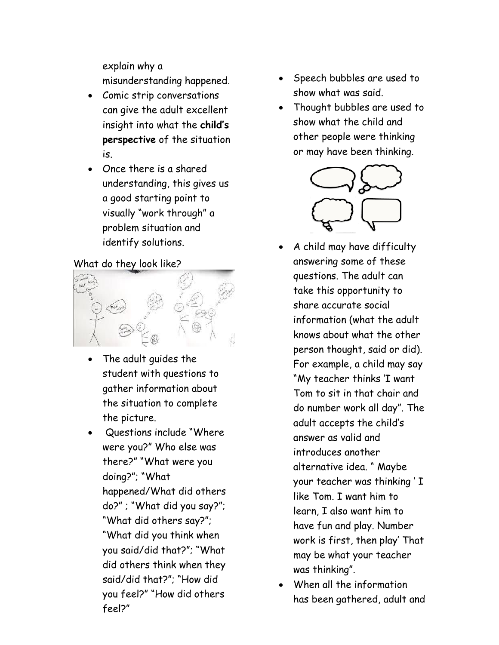explain why a misunderstanding happened.

- Comic strip conversations can give the adult excellent insight into what the **child's perspective** of the situation is.
- Once there is a shared understanding, this gives us a good starting point to visually "work through" a problem situation and identify solutions.

#### What do they look like?



- The adult guides the student with questions to gather information about the situation to complete the picture.
- Questions include "Where were you?" Who else was there?" "What were you doing?"; "What happened/What did others do?" ; "What did you say?"; "What did others say?"; "What did you think when you said/did that?"; "What did others think when they said/did that?"; "How did you feel?" "How did others feel?"
- Speech bubbles are used to show what was said.
- Thought bubbles are used to show what the child and other people were thinking or may have been thinking.



- A child may have difficulty answering some of these questions. The adult can take this opportunity to share accurate social information (what the adult knows about what the other person thought, said or did). For example, a child may say "My teacher thinks 'I want Tom to sit in that chair and do number work all day". The adult accepts the child's answer as valid and introduces another alternative idea. " Maybe your teacher was thinking ' I like Tom. I want him to learn, I also want him to have fun and play. Number work is first, then play' That may be what your teacher was thinking".
- When all the information has been gathered, adult and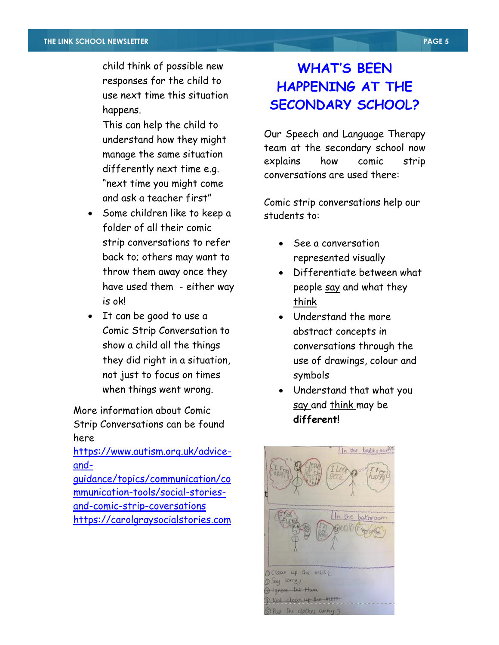#### **THE LINK SCHOOL NEWSLETTER PAGE 5**

child think of possible new responses for the child to use next time this situation happens.

This can help the child to understand how they might manage the same situation differently next time e.g. "next time you might come and ask a teacher first"

- Some children like to keep a folder of all their comic strip conversations to refer back to; others may want to throw them away once they have used them - either way is ok!
- It can be good to use a Comic Strip Conversation to show a child all the things they did right in a situation, not just to focus on times when things went wrong.

More information about Comic Strip Conversations can be found here

[https://www.autism.org.uk/advice](https://www.autism.org.uk/advice-and-guidance/topics/communication/communication-tools/social-stories-and-comic-strip-coversations)[and-](https://www.autism.org.uk/advice-and-guidance/topics/communication/communication-tools/social-stories-and-comic-strip-coversations)

[guidance/topics/communication/co](https://www.autism.org.uk/advice-and-guidance/topics/communication/communication-tools/social-stories-and-comic-strip-coversations) [mmunication-tools/social-stories](https://www.autism.org.uk/advice-and-guidance/topics/communication/communication-tools/social-stories-and-comic-strip-coversations)[and-comic-strip-coversations](https://www.autism.org.uk/advice-and-guidance/topics/communication/communication-tools/social-stories-and-comic-strip-coversations) [https://carolgraysocialstories.com](https://carolgraysocialstories.com/)

## **WHAT'S BEEN HAPPENING AT THE SECONDARY SCHOOL?**

Our Speech and Language Therapy team at the secondary school now explains how comic strip conversations are used there:

Comic strip conversations help our students to:

- See a conversation represented visually
- Differentiate between what people say and what they think
- Understand the more abstract concepts in conversations through the use of drawings, colour and symbols
- Understand that what you say and think may be **different!**

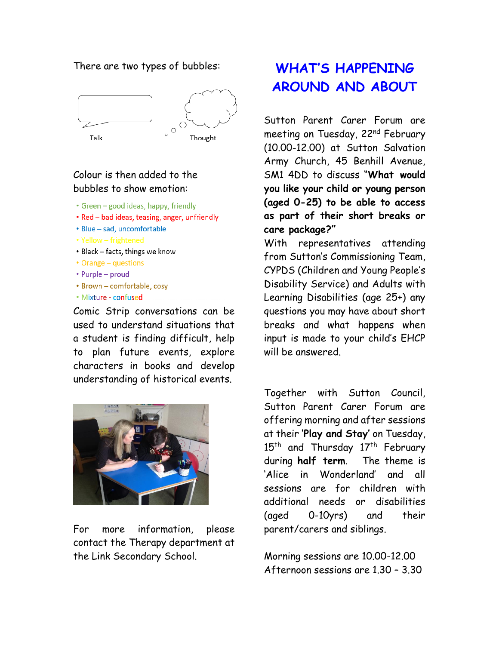#### There are two types of bubbles:



#### Colour is then added to the bubbles to show emotion:

- Green good ideas, happy, friendly
- . Red bad ideas, teasing, anger, unfriendly
- · Blue sad, uncomfortable
- Yellow frightened
- Black facts, things we know
- Orange questions
- Purple proud
- Brown comfortable, cosy
- · Mixture confused

Comic Strip conversations can be used to understand situations that a student is finding difficult, help to plan future events, explore characters in books and develop understanding of historical events.



For more information, please contact the Therapy department at the Link Secondary School.

# **WHAT'S HAPPENING AROUND AND ABOUT**

Sutton Parent Carer Forum are meeting on Tuesday, 22nd February (10.00-12.00) at Sutton Salvation Army Church, 45 Benhill Avenue, SM1 4DD to discuss "**What would you like your child or young person (aged 0-25) to be able to access as part of their short breaks or care package?"** 

With representatives attending from Sutton's Commissioning Team, CYPDS (Children and Young People's Disability Service) and Adults with Learning Disabilities (age 25+) any questions you may have about short breaks and what happens when input is made to your child's EHCP will be answered.

Together with Sutton Council, Sutton Parent Carer Forum are offering morning and after sessions at their **'Play and Stay'** on Tuesday, 15<sup>th</sup> and Thursday 17<sup>th</sup> February during **half term**. The theme is 'Alice in Wonderland' and all sessions are for children with additional needs or disabilities (aged 0-10yrs) and their parent/carers and siblings.

Morning sessions are 10.00-12.00 Afternoon sessions are 1.30 – 3.30